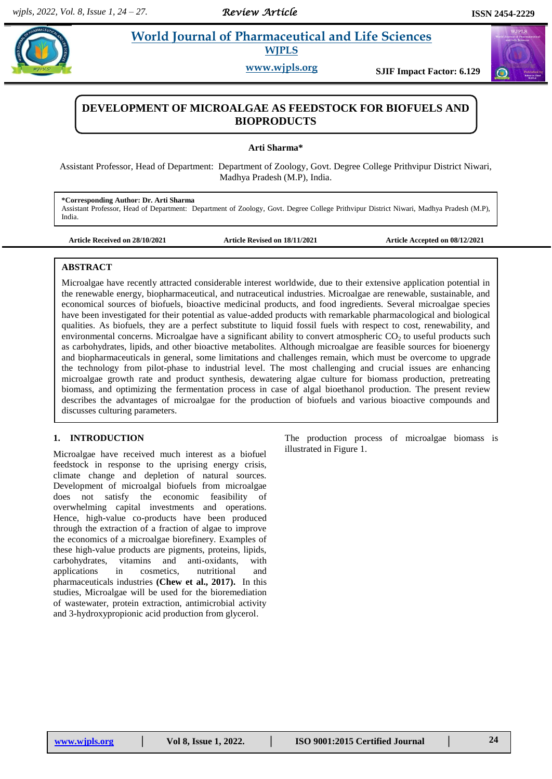# **Share 2.1 <b>World Journal of Pharmaceutical and Life Sciences**

**WJPLS**

**www.wjpls.org SJIF Impact Factor: 6.129**



# **DEVELOPMENT OF MICROALGAE AS FEEDSTOCK FOR BIOFUELS AND BIOPRODUCTS**

**Arti Sharma\***

Assistant Professor, Head of Department: Department of Zoology, Govt. Degree College Prithvipur District Niwari, Madhya Pradesh (M.P), India.

**\*Corresponding Author: Dr. Arti Sharma** Assistant Professor, Head of Department: Department of Zoology, Govt. Degree College Prithvipur District Niwari, Madhya Pradesh (M.P), India.

**Article Received on 28/10/2021 Article Revised on 18/11/2021 Article Accepted on 08/12/2021**

# **ABSTRACT**

Microalgae have recently attracted considerable interest worldwide, due to their extensive application potential in the renewable energy, biopharmaceutical, and nutraceutical industries. Microalgae are renewable, sustainable, and economical sources of biofuels, bioactive medicinal products, and food ingredients. Several microalgae species have been investigated for their potential as value-added products with remarkable pharmacological and biological qualities. As biofuels, they are a perfect substitute to liquid fossil fuels with respect to cost, renewability, and environmental concerns. Microalgae have a significant ability to convert atmospheric  $CO<sub>2</sub>$  to useful products such as carbohydrates, lipids, and other bioactive metabolites. Although microalgae are feasible sources for bioenergy and biopharmaceuticals in general, some limitations and challenges remain, which must be overcome to upgrade the technology from pilot-phase to industrial level. The most challenging and crucial issues are enhancing microalgae growth rate and product synthesis, dewatering algae culture for biomass production, pretreating biomass, and optimizing the fermentation process in case of algal bioethanol production. The present review describes the advantages of microalgae for the production of biofuels and various bioactive compounds and discusses culturing parameters.

# **1. INTRODUCTION**

Microalgae have received much interest as a biofuel feedstock in response to the uprising energy crisis, climate change and depletion of natural sources. Development of microalgal biofuels from microalgae does not satisfy the economic feasibility of overwhelming capital investments and operations. Hence, high-value co-products have been produced through the extraction of a fraction of algae to improve the economics of a microalgae biorefinery. Examples of these high-value products are pigments, proteins, lipids, carbohydrates, vitamins and anti-oxidants, with applications in cosmetics, nutritional and pharmaceuticals industries **(Chew et al., 2017).** In this studies, Microalgae will be used for the bioremediation of wastewater, protein extraction, antimicrobial activity and 3-hydroxypropionic acid production from glycerol.

The production process of microalgae biomass is illustrated in Figure 1.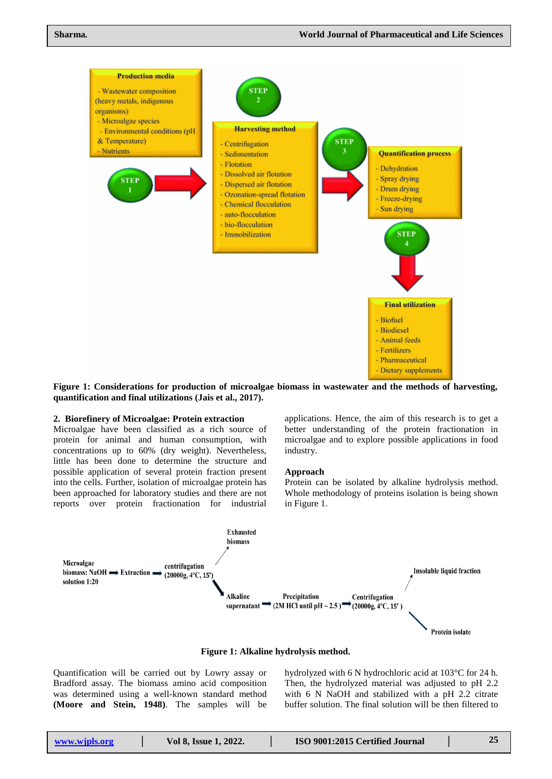

**Figure 1: Considerations for production of microalgae biomass in wastewater and the methods of harvesting, quantification and final utilizations (Jais et al., 2017).**

### **2. Biorefinery of Microalgae: Protein extraction**

Microalgae have been classified as a rich source of protein for animal and human consumption, with concentrations up to 60% (dry weight). Nevertheless, little has been done to determine the structure and possible application of several protein fraction present into the cells. Further, isolation of microalgae protein has been approached for laboratory studies and there are not reports over protein fractionation for industrial

applications. Hence, the aim of this research is to get a better understanding of the protein fractionation in microalgae and to explore possible applications in food industry.

#### **Approach**

Protein can be isolated by alkaline hydrolysis method. Whole methodology of proteins isolation is being shown in Figure 1.



**Figure 1: Alkaline hydrolysis method.**

Quantification will be carried out by Lowry assay or Bradford assay. The biomass amino acid composition was determined using a well-known standard method **(Moore and Stein, 1948)**. The samples will be

hydrolyzed with 6 N hydrochloric acid at 103°C for 24 h. Then, the hydrolyzed material was adjusted to pH 2.2 with 6 N NaOH and stabilized with a pH 2.2 citrate buffer solution. The final solution will be then filtered to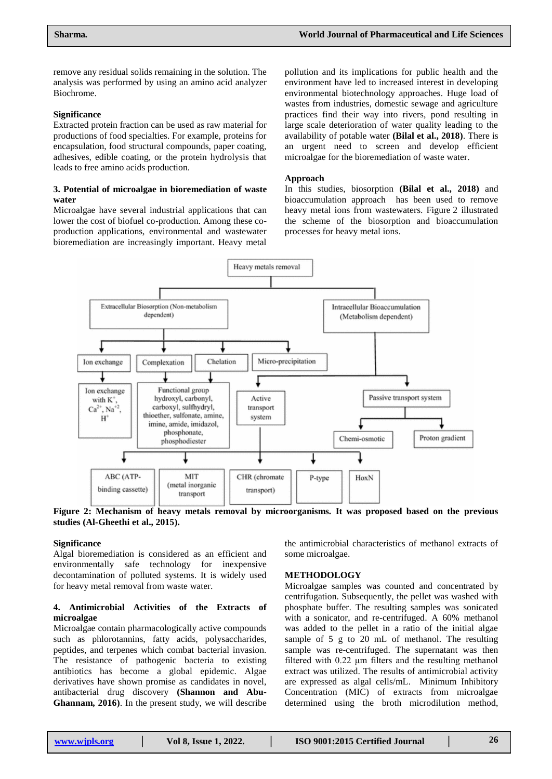remove any residual solids remaining in the solution. The analysis was performed by using an amino acid analyzer Biochrome.

### **Significance**

Extracted protein fraction can be used as raw material for productions of food specialties. For example, proteins for encapsulation, food structural compounds, paper coating, adhesives, edible coating, or the protein hydrolysis that leads to free amino acids production.

# **3. Potential of microalgae in bioremediation of waste water**

Microalgae have several industrial applications that can lower the cost of biofuel co-production. Among these coproduction applications, environmental and wastewater bioremediation are increasingly important. Heavy metal

pollution and its implications for public health and the environment have led to increased interest in developing environmental biotechnology approaches. Huge load of wastes from industries, domestic sewage and agriculture practices find their way into rivers, pond resulting in large scale deterioration of water quality leading to the availability of potable water **(Bilal et al., 2018)**. There is an urgent need to screen and develop efficient microalgae for the bioremediation of waste water.

### **Approach**

In this studies, biosorption **(Bilal et al., 2018)** and bioaccumulation approach has been used to remove heavy metal ions from wastewaters. Figure 2 illustrated the scheme of the biosorption and bioaccumulation processes for heavy metal ions.



**Figure 2: Mechanism of heavy metals removal by microorganisms. It was proposed based on the previous studies (Al-Gheethi et al., 2015).**

# **Significance**

Algal bioremediation is considered as an efficient and environmentally safe technology for inexpensive decontamination of polluted systems. It is widely used for heavy metal removal from waste water.

# **4. Antimicrobial Activities of the Extracts of microalgae**

Microalgae contain pharmacologically active compounds such as phlorotannins, fatty acids, polysaccharides, peptides, and terpenes which combat bacterial invasion. The resistance of pathogenic bacteria to existing antibiotics has become a global epidemic. Algae derivatives have shown promise as candidates in novel, antibacterial drug discovery **(Shannon and Abu-Ghannam, 2016)**. In the present study, we will describe

the antimicrobial characteristics of methanol extracts of some microalgae.

#### **METHODOLOGY**

Microalgae samples was counted and concentrated by centrifugation. Subsequently, the pellet was washed with phosphate buffer. The resulting samples was sonicated with a sonicator, and re-centrifuged. A 60% methanol was added to the pellet in a ratio of the initial algae sample of 5 g to 20 mL of methanol. The resulting sample was re-centrifuged. The supernatant was then filtered with 0.22 μm filters and the resulting methanol extract was utilized. The results of antimicrobial activity are expressed as algal cells/mL. Minimum Inhibitory Concentration (MIC) of extracts from microalgae determined using the broth microdilution method,